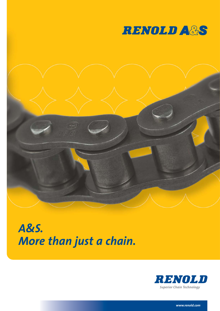



# *A&S. More than just a chain.*



*www.renold.com*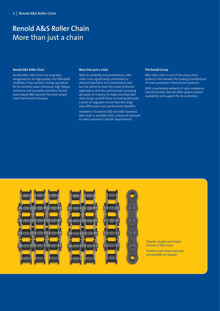### **Renold A&S Roller Chain** More than just a chain

#### **Renold A&S Roller Chain**

Renold A&S roller chain has long been recognised for its high quality and affordable reliability. It has earned a strong reputation for its excellent wear resistance, high fatigue resistance and durability and these factors have helped A&S become the most widely used chain brand in Europe.

#### **More than just a chain**

With its reliability and performance, A&S roller chain significantly contributes to reduced downtime and maintenance and has the ability to meet the needs of diverse applications and the continuously increasing demands of industry. To make sure that A&S chain keeps up with these increasing demands, a series of upgrades ensure that the range now offers even more performance benefits.

Available in European (BS) and ANSI standard, A&S chain is available with a choice of lubricant to meet customer's specific requirements.

#### **The Renold Group**

A&S roller chain is one of the many chain products from Renold, the leading manufacturer of chain and power transmission products.

With a worldwide network of sales companies and distributors, Renold offers global product availability and support for its customers.



Simplex, duplex and triplex strands of A&S chain. Further multi-strand versions are available on request.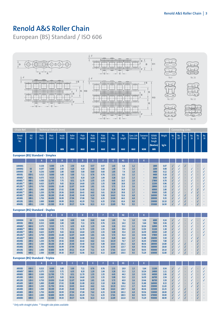# **Renold A&S Roller Chain**

**European (BS) Standard / ISO 606**



|                                                                                                                           |                                                                                                                            | Technical Details (mm                                                                                                               |                                                                                                                     |                                                                                                                      |                                                                                                                       |                                                                                                              |                                                                                                              |                                                                                                                   |                                                                                                          |                                                                                                |                                                                                                        |                                                                                                                           |                                                                                                                |                                                                                                                 |                                                                                           | Connecting Links                                  |                                                                                        |                       |                                                                                             |  |  |
|---------------------------------------------------------------------------------------------------------------------------|----------------------------------------------------------------------------------------------------------------------------|-------------------------------------------------------------------------------------------------------------------------------------|---------------------------------------------------------------------------------------------------------------------|----------------------------------------------------------------------------------------------------------------------|-----------------------------------------------------------------------------------------------------------------------|--------------------------------------------------------------------------------------------------------------|--------------------------------------------------------------------------------------------------------------|-------------------------------------------------------------------------------------------------------------------|----------------------------------------------------------------------------------------------------------|------------------------------------------------------------------------------------------------|--------------------------------------------------------------------------------------------------------|---------------------------------------------------------------------------------------------------------------------------|----------------------------------------------------------------------------------------------------------------|-----------------------------------------------------------------------------------------------------------------|-------------------------------------------------------------------------------------------|---------------------------------------------------|----------------------------------------------------------------------------------------|-----------------------|---------------------------------------------------------------------------------------------|--|--|
| <b>ISO</b><br>Ref.                                                                                                        | Pitch<br>(inch)                                                                                                            | Pitch<br>(mm)                                                                                                                       | Inside<br>Width                                                                                                     | Roller<br>Diam.                                                                                                      | Plate<br>Height                                                                                                       | Plate<br>Width<br><b>Inner</b>                                                                               | Plate<br>Width<br>Outer                                                                                      | Pin<br>Diam.                                                                                                      | Pin<br>Length                                                                                            | Conn. Link<br><b>Extension</b>                                                                 | <b>Transverse</b><br>Pitch                                                                             | <b>ISO606</b><br><b>Tensile</b><br><b>Strength</b>                                                                        | Weight                                                                                                         | No.<br>$\overline{4}$                                                                                           | No.<br>107                                                                                | No.<br>11                                         | No.<br>26                                                                              | No.<br>12             | No.<br>30                                                                                   |  |  |
|                                                                                                                           |                                                                                                                            |                                                                                                                                     | <b>MIN</b>                                                                                                          | <b>MAX</b>                                                                                                           | <b>MAX</b>                                                                                                            | <b>MAX</b>                                                                                                   | <b>MAX</b>                                                                                                   | <b>MAX</b>                                                                                                        | <b>MAX</b>                                                                                               | <b>MAX</b>                                                                                     | <b>NOM</b>                                                                                             | <b>MIN</b>                                                                                                                |                                                                                                                |                                                                                                                 |                                                                                           |                                                   |                                                                                        |                       |                                                                                             |  |  |
|                                                                                                                           |                                                                                                                            |                                                                                                                                     |                                                                                                                     |                                                                                                                      |                                                                                                                       |                                                                                                              |                                                                                                              |                                                                                                                   |                                                                                                          |                                                                                                |                                                                                                        |                                                                                                                           |                                                                                                                |                                                                                                                 |                                                                                           |                                                   |                                                                                        |                       |                                                                                             |  |  |
|                                                                                                                           | A                                                                                                                          | A                                                                                                                                   | B                                                                                                                   | c                                                                                                                    | D                                                                                                                     | E.                                                                                                           | F                                                                                                            | G                                                                                                                 | H1                                                                                                       |                                                                                                | ĸ                                                                                                      |                                                                                                                           |                                                                                                                |                                                                                                                 |                                                                                           |                                                   |                                                                                        |                       |                                                                                             |  |  |
| 03<br>04<br>05B-1<br>06B-1<br>08B-1<br>$10B-1$<br>$12B-1$<br>$16B-1$<br>$20B-1$<br>$24B-1$<br>28B-1<br>$32B-1$<br>$40B-1$ | 0.158<br>0.197<br>0.236<br>0.315<br>0.375<br>0.500<br>0.625<br>0.750<br>1.000<br>1.250<br>1.500<br>1.750<br>2.000<br>2.500 | 4.000<br>5.000<br>6.000<br>8.000<br>9.525<br>12.700<br>15.875<br>19.050<br>25.400<br>31.750<br>38.100<br>44.450<br>50.800<br>63.500 | 2.70<br>2.50<br>2.80<br>3.00<br>5.72<br>7.75<br>9.65<br>11.68<br>17.02<br>19.56<br>25.40<br>30.99<br>30.99<br>39.30 | 2.50<br>3.20<br>4.00<br>5.00<br>6.35<br>8.51<br>10.16<br>12.07<br>15.88<br>19.05<br>25.40<br>27.94<br>29.21<br>39.37 | 4.10<br>4.10<br>5.00<br>7.11<br>8.20<br>11.70<br>14.60<br>16.00<br>21.08<br>26.42<br>33.40<br>37.08<br>42.29<br>52.96 | 0.57<br>0.60<br>0.60<br>0.76<br>1.29<br>1.55<br>1.55<br>1.81<br>4.12<br>4.62<br>6.10<br>7.62<br>7.11<br>8.13 | 0.57<br>0.60<br>0.60<br>0.76<br>1.04<br>1.55<br>1.55<br>1.81<br>3.10<br>3.61<br>5.08<br>6.35<br>6.35<br>8.13 | 1.65<br>1.49<br>1.85<br>2.31<br>3.28<br>4.45<br>5.08<br>5.72<br>8.28<br>10.19<br>14.63<br>15.90<br>17.81<br>22.89 | 6.8<br>7.4<br>7.4<br>8.6<br>12.5<br>16.5<br>18.8<br>21.9<br>34.9<br>39.8<br>52.6<br>64.2<br>63.4<br>78.2 | 1.2<br>1.3<br>1.0<br>1.5<br>1.3<br>2.0<br>2.5<br>2.6<br>2.2<br>2.7<br>6.8<br>6.8<br>8.0<br>9.5 | $\sim$<br>$\sim$<br>٠<br>×,<br>×<br>×                                                                  | 1800<br>2200<br>3000<br>4400<br>8900<br>17800<br>22200<br>28900<br>60000<br>95000<br>160000<br>200000<br>250000<br>355000 | 0.07<br>0.08<br>0.12<br>0.18<br>0.39<br>0.70<br>0.96<br>1.22<br>2.80<br>3.85<br>7.45<br>9.35<br>10.10<br>16.50 | $\checkmark$<br>$\checkmark$<br>$\checkmark$<br>J<br>√<br>√<br>√<br>$\checkmark$<br>√<br>√<br>√<br>$\checkmark$ | √<br>√<br>√<br>$\checkmark$<br>√<br>√<br>√<br>$\checkmark$<br>$\checkmark$<br>√<br>√<br>√ | ł,<br>÷<br>÷<br>÷<br>ł,<br>√<br>√<br>$\checkmark$ | J<br>√<br>$\checkmark$<br>$\checkmark$<br>√<br>√<br>$\checkmark$<br>√<br>J<br>ä,<br>×. | √<br>J<br>√<br>√<br>√ | $\checkmark$<br>$\checkmark$<br>$\checkmark$<br>$\checkmark$<br>√<br>√<br>$\checkmark$<br>√ |  |  |
|                                                                                                                           |                                                                                                                            |                                                                                                                                     |                                                                                                                     |                                                                                                                      |                                                                                                                       |                                                                                                              |                                                                                                              |                                                                                                                   |                                                                                                          |                                                                                                |                                                                                                        |                                                                                                                           |                                                                                                                |                                                                                                                 |                                                                                           |                                                   |                                                                                        |                       |                                                                                             |  |  |
|                                                                                                                           | A                                                                                                                          | $\mathbf{A}$                                                                                                                        | B                                                                                                                   | $\epsilon$                                                                                                           | D                                                                                                                     | E.                                                                                                           | F                                                                                                            | G                                                                                                                 | H <sub>2</sub>                                                                                           |                                                                                                |                                                                                                        |                                                                                                                           |                                                                                                                |                                                                                                                 |                                                                                           |                                                   |                                                                                        |                       |                                                                                             |  |  |
| 04<br>05B-2<br>06B-2<br>08B-2<br>$10B-2$<br>$12B-2$<br>$16B-2$<br>$20B-2$<br>$24B-2$<br>28B-2<br>$32B-2$<br>40B-2         | 0.236<br>0.315<br>0.375<br>0.500<br>0.625<br>0.750<br>1.000<br>1.250<br>1.500<br>1.750<br>2.000<br>2.500                   | 6.000<br>8.000<br>9.525<br>12.700<br>15.875<br>19.050<br>25.400<br>31.750<br>38.100<br>44.450<br>50.800<br>63.500                   | 2.80<br>3.00<br>5.72<br>7.75<br>9.65<br>11.68<br>17.02<br>19.56<br>25.40<br>30.99<br>30.99<br>39.30                 | 4.00<br>5.00<br>6.35<br>8.51<br>10.16<br>12.07<br>15.88<br>19.05<br>25.40<br>27.94<br>29.21<br>39.37                 | 5.00<br>7.11<br>8.20<br>11.70<br>14.60<br>16.00<br>21.08<br>26.42<br>33.40<br>37.08<br>42.29<br>52.96                 | 0.60<br>0.76<br>1.29<br>1.55<br>1.55<br>1.81<br>4.12<br>4.62<br>6.10<br>7.62<br>7.11<br>8.13                 | 0.60<br>0.76<br>1.04<br>1.55<br>1.55<br>1.81<br>3.10<br>3.61<br>5.08<br>6.35<br>6.35<br>8.13                 | 1.85<br>2.31<br>3.28<br>4.45<br>5.08<br>5.72<br>8.28<br>10.19<br>14.63<br>15.90<br>17.81<br>22.89                 | 7.4<br>14.3<br>23.0<br>30.4<br>35.4<br>41.4<br>66.8<br>76.7<br>101.3<br>123.7<br>122.0<br>150.5          | 1.0<br>1.5<br>1.3<br>2.0<br>2.5<br>2.6<br>2.2<br>2.7<br>6.8<br>6.8<br>8.0<br>9.5               | 5.50<br>5.64<br>10.24<br>13.92<br>16.59<br>19.46<br>31.88<br>36.45<br>48.36<br>59.56<br>58.55<br>72.29 | 6000<br>7800<br>16900<br>31100<br>44500<br>57800<br>106000<br>170000<br>280000<br>360000<br>450000<br>630000              | 0.24<br>0.36<br>0.78<br>1.38<br>1.69<br>2.42<br>5.50<br>7.80<br>14.80<br>18.60<br>20.10<br>32.80               | √<br>$\checkmark$<br>$\checkmark$<br>√<br>√<br>√<br>√<br>√<br>√<br>√<br>$\checkmark$                            | √<br>$\checkmark$<br>√<br>√<br>√<br>$\checkmark$<br>√<br>√<br>√                           | ÷<br>÷<br>÷<br>÷<br>√<br>√<br>√                   | √<br>$\checkmark$<br>√<br>√<br>√<br>J<br>√<br>×,                                       | √<br>√<br>√           | √<br>$\checkmark$<br>$\checkmark$<br>$\checkmark$<br>$\checkmark$<br>√                      |  |  |
|                                                                                                                           | A                                                                                                                          | A                                                                                                                                   | B                                                                                                                   | $\mathsf{C}$                                                                                                         | $\mathbf{D}$                                                                                                          | E.                                                                                                           | F                                                                                                            | G                                                                                                                 | H <sub>3</sub>                                                                                           |                                                                                                | K                                                                                                      |                                                                                                                           |                                                                                                                |                                                                                                                 |                                                                                           |                                                   |                                                                                        |                       |                                                                                             |  |  |
| $05B-3$<br>06B-3<br>08B-3<br>10B-3<br>$12B-3$<br>$16B-3$<br>$20B-3$<br>$24B-3$<br>28B-3<br>$32B-3$<br>$40B-3$             | 0.315<br>0.375<br>0.500<br>0.625<br>0.750<br>1.000<br>1.250<br>1.500<br>1.750<br>2.000<br>2.500                            | 8.000<br>9.525<br>12.700<br>15.875<br>19.050<br>25,400<br>31.750<br>38.100<br>44.450<br>50.800<br>63.500                            | 3.00<br>5.72<br>7.75<br>9.65<br>11.68<br>17.02<br>19.56<br>25.40<br>30.99<br>30.99<br>39.30                         | 5.00<br>6.35<br>8.51<br>10.16<br>12.07<br>15.88<br>19.05<br>25.40<br>27.94<br>29.21<br>39.37                         | 7.11<br>8.20<br>11.70<br>14.60<br>16.00<br>21.08<br>26.42<br>33.40<br>37.08<br>42.29<br>52.96                         | 0.76<br>1.29<br>1.55<br>1.55<br>1.81<br>4.12<br>4.62<br>6.10<br>7.62<br>7.11<br>8.13                         | 0.76<br>1.04<br>1.55<br>1.55<br>1.81<br>3.10<br>3.61<br>5.08<br>6.35<br>6.35<br>8.13                         | 2.31<br>3.28<br>4.45<br>5.08<br>5.72<br>8.28<br>10.19<br>14.63<br>15.90<br>17.81<br>22.89                         | 19.9<br>33.3<br>44.3<br>52.0<br>60.9<br>98.6<br>113.2<br>149.7<br>183.3<br>180.5<br>222.8                | 1.5<br>1.3<br>2.0<br>2.5<br>2.6<br>2.2<br>2.7<br>6.8<br>6.8<br>8.0<br>9.5                      | 5.64<br>10.24<br>13.92<br>16.59<br>19.46<br>31.88<br>36.45<br>48.36<br>59.56<br>58.55<br>72.29         | 11100<br>24900<br>44500<br>66700<br>86700<br>160000<br>250000<br>425000<br>530000<br>670000<br>950000                     | 0.54<br>1.11<br>2.06<br>2.54<br>3.59<br>8.15<br>11.65<br>22.25<br>28.00<br>30.00<br>48.90                      | $\checkmark$<br>√<br>$\checkmark$<br>√<br>$\checkmark$<br>√<br>√<br>√<br>√<br>$\checkmark$<br>J                 | √<br>√<br>√<br>√<br>√<br>√<br>√<br>√<br>√                                                 | ł,<br>ł,<br>√<br>√<br>√                           | √<br>√<br>√<br>$\checkmark$<br>√<br>J<br>٠                                             | √<br>√                | $\checkmark$<br>√<br>$\checkmark$<br>$\checkmark$<br>$\checkmark$                           |  |  |
|                                                                                                                           |                                                                                                                            |                                                                                                                                     | <b>European (BS) Standard - Duplex</b><br><b>European (BS) Standard - Triplex</b>                                   | <b>European (BS) Standard - Simplex</b>                                                                              |                                                                                                                       |                                                                                                              |                                                                                                              |                                                                                                                   |                                                                                                          |                                                                                                |                                                                                                        |                                                                                                                           | (Newtons)                                                                                                      | kg/m                                                                                                            |                                                                                           |                                                   |                                                                                        |                       |                                                                                             |  |  |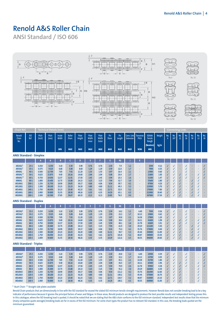# **Renold A&S Roller Chain**

**ANSI Standard / ISO 606**



|                     |           |       |        |       |       |       |      |      |       | H1   |     |                          |        |       |  |  |  |  |
|---------------------|-----------|-------|--------|-------|-------|-------|------|------|-------|------|-----|--------------------------|--------|-------|--|--|--|--|
| AR25A1 <sup>o</sup> | $25 - 1$  | 0.250 | 6.350  | 3.10  | 3.30  | 5.90  | 0.76 | 0.76 | 2.30  | 7.9  | 1.2 |                          | 3500   | 0.12  |  |  |  |  |
| AR35A1 <sup>o</sup> | $35 - 1$  | 0.375 | 9.525  | 4.68  | 5.08  | 8.60  | 1.29 | 1.29 | 3.59  | 12.0 | 1.7 |                          | 7900   | 0.35  |  |  |  |  |
| <b>AR40A1</b>       | $40 - 1$  | 0.500 | 12.700 | 7.85  | 7.92  | 11.20 | 1.55 | 1.55 | 3.97  | 16.4 | 2.1 | ۰                        | 13900  | 0.60  |  |  |  |  |
| AR50A1**            | $50 - 1$  | 0.625 | 15.875 | 9.40  | 10.16 | 14.60 | 2.04 | 2.04 | 5.08  | 20.4 | 2.7 | ۰                        | 21800  | 1.00  |  |  |  |  |
| AR60A1**            | $60 - 1$  | 0.750 | 19.050 | 12.57 | 11.91 | 17.50 | 2.45 | 2.45 | 5.94  | 25.3 | 2.6 | ۰                        | 31300  | 1.47  |  |  |  |  |
| <b>AR80A1</b>       | $80 - 1$  | 1.000 | 25.400 | 15.75 | 15.88 | 24.13 | 3.25 | 3.25 | 7.94  | 32.7 | 3.0 | $\overline{\phantom{a}}$ | 55600  | 2.80  |  |  |  |  |
| <b>AR100A1</b>      | $100 - 1$ | 1.250 | 31.750 | 18.90 | 19.05 | 30.17 | 4.06 | 4.06 | 9.54  | 39.7 | 4.2 | ۰                        | 87000  | 4.20  |  |  |  |  |
| <b>AR120A1</b>      | $120 - 1$ | 1.500 | 38.100 | 25.23 | 22.23 | 36.20 | 4.80 | 4.80 | 11.11 | 49.3 | 5.3 | ۰                        | 125000 | 5.70  |  |  |  |  |
| <b>AR140A1</b>      | 140-1     | 1.750 | 44.450 | 25.23 | 25.40 | 42.23 | 5.61 | 5.61 | 12.71 | 52.9 | 5.2 | ۰                        | 170000 | 7.80  |  |  |  |  |
| <b>AR160A1</b>      | $160 - 1$ | 2.000 | 50.800 | 31.55 | 28.58 | 48.26 | 6.35 | 6.35 | 14.29 | 63.1 | 6.5 | ۰                        | 223000 | 10.40 |  |  |  |  |
| <b>AR200A1</b>      | $200 - 1$ | 2.500 | 63.500 | 37.85 | 39.67 | 60.33 | 8.13 | 8.13 | 19.85 | 76.9 | 9.0 | ۰                        | 347000 | 17.30 |  |  |  |  |

**ANSI Standard - Duplex**

|                     |           |       |        |       |       |       |      |      |       | H2    |     |       |        |       |  |  |  |  |
|---------------------|-----------|-------|--------|-------|-------|-------|------|------|-------|-------|-----|-------|--------|-------|--|--|--|--|
| $AR25A2^{\circ}$    | $25 - 2$  | 0.250 | 6.350  | 3.10  | 3.30  | 5.90  | 0.76 | 0.76 | 2.30  | 14.2  | 1.2 | 6.40  | 7000   | 0.26  |  |  |  |  |
| AR35A2 <sup>o</sup> | $35 - 2$  | 0.375 | 9.525  | 4.68  | 5.08  | 8.60  | 1.29 | 1.29 | 3.59  | 22.2  | 1.7 | 10.13 | 15800  | 0.62  |  |  |  |  |
| <b>AR40A2</b>       | $40 - 2$  | 0.500 | 12.700 | 7.85  | 7.92  | 11.20 | 1.55 | 1.55 | 3.97  | 30.8  | 2.1 | 14.38 | 27800  | 1.20  |  |  |  |  |
| <b>AR50A2</b>       | $50 - 2$  | 0.625 | 15.875 | 9.40  | 10.16 | 14.60 | 2.04 | 2.04 | 5.08  | 38.4  | 2.7 | 18.11 | 43600  | 1.98  |  |  |  |  |
| <b>AR60A2</b>       | $60 - 2$  | 0.750 | 19.050 | 12.57 | 11.91 | 17.50 | 2.45 | 2.45 | 5.94  | 48.1  | 2.6 | 22.78 | 62600  | 2.91  |  |  |  |  |
| <b>AR80A2</b>       | $80 - 2$  | 1.000 | 25.400 | 15.75 | 15.88 | 24.13 | 3.25 | 3.25 | 7.94  | 61.9  | 3.0 | 29.29 | 111200 | 5.50  |  |  |  |  |
| <b>AR100A2</b>      | $100 - 2$ | 1.250 | 31.750 | 18.90 | 19.05 | 30.17 | 4.06 | 4.06 | 9.54  | 75.4  | 4.2 | 35.76 | 174000 | 8.40  |  |  |  |  |
| <b>AR120A2</b>      | $120 - 2$ | 1.500 | 38.100 | 25.23 | 22.23 | 36.20 | 4.80 | 4.80 | 11.11 | 94.7  | 5.3 | 45.44 | 250000 | 11.00 |  |  |  |  |
| <b>AR140A2</b>      | 140-2     | 1.750 | 44.450 | 25.23 | 25.40 | 42.23 | 5.61 | 5.61 | 12.71 | 101.8 | 5.2 | 48.87 | 340000 | 15.50 |  |  |  |  |
| <b>AR160A2</b>      | $160 - 2$ | 2.000 | 50.800 | 31.55 | 28.58 | 48.26 | 6.35 | 6.35 | 14.29 | 121.6 | 6.5 | 58.55 | 446000 | 20.60 |  |  |  |  |

#### **ANSI Standard - Triplex**

|                  |           |       |        |       |       |       |      |      |       | H3    |     |       |        |       |  |  |   |  |
|------------------|-----------|-------|--------|-------|-------|-------|------|------|-------|-------|-----|-------|--------|-------|--|--|---|--|
| $AR25A3^{\circ}$ | $25 - 3$  | 0.250 | 6.350  | 3.10  | 3.30  | 5.90  | 0.76 | 0.76 | 2.30  | 20.8  | 1.2 | 6.40  | 10500  | 0.39  |  |  |   |  |
| AR35A3           | $35 - 3$  | 0.375 | 9.525  | 4.68  | 5.08  | 8.60  | 1.29 | 1.29 | 3.59  | 32.2  | 1.7 | 10.13 | 23700  | 0.93  |  |  | ٠ |  |
| <b>AR40A3</b>    | $40 - 3$  | 0.500 | 12.700 | 7.85  | 7.92  | 11.20 | 1.55 | 1.55 | 3.97  | 45.1  | 2.1 | 14.38 | 41700  | 1.80  |  |  |   |  |
| <b>AR50A3</b>    | $50-3$    | 0.625 | 15.875 | 9.40  | 10.16 | 14.60 | 2.04 | 2.04 | 5.08  | 56.5  | 2.7 | 18.11 | 65400  | 2.96  |  |  |   |  |
| <b>AR60A3</b>    | $60 - 3$  | 0.750 | 19.050 | 12.57 | 11.91 | 17.50 | 2.45 | 2.45 | 5.94  | 70.9  | 2.6 | 22.78 | 93900  | 4.38  |  |  |   |  |
| <b>AR80A3</b>    | $80 - 3$  | 1.000 | 25,400 | 15.75 | 15.88 | 24.13 | 3.25 | 3.25 | 7.94  | 91.2  | 3.0 | 29.29 | 166800 | 8.30  |  |  |   |  |
| <b>AR100A3</b>   | $100 - 3$ | 1.250 | 31.750 | 18.90 | 19.05 | 30.17 | 4.06 | 4.06 | 9.54  | 111.2 | 4.2 | 35.76 | 261000 | 12.60 |  |  |   |  |
| <b>AR120A3</b>   | $120 - 3$ | 1.500 | 38.100 | 25.23 | 22.23 | 36.20 | 4.80 | 4.80 | 11.11 | 140.2 | 5.3 | 45.44 | 375000 | 16.70 |  |  |   |  |
| <b>AR140A3</b>   | $140 - 3$ | 1.750 | 44.450 | 25.23 | 25.40 | 42.23 | 5.61 | 5.61 | 12.71 | 150.7 | 5.2 | 48.87 | 510000 | 23.10 |  |  |   |  |
| <b>AR160A3</b>   | $160 - 3$ | 2.000 | 50,800 | 31.55 | 28.58 | 48.26 | 6.35 | 6.35 | 14.29 | 180.2 | 6.5 | 58.55 | 669000 | 31.00 |  |  |   |  |

**◊** Bush Chain \*\* Straight side plates available

Renold Chain products that are dimensionally in line with the ISO standard far exceed the stated ISO minimum tensile strength requirements. However Renold does not consider breaking load to be a key indicator of performance because it ignores the principal factors of wear and fatigue. In these areas, Renold products are designed to produce the best possible results and independent testing proves this. In this catalogue, where the ISO breaking load is quoted, it should be noted that we are stating that the A&S chain conforms to the ISO minimum standard. Independent test results show that the minmum (many companies quote averages) breaking loads are far in excess of the ISO minimum. For some chain types the product has no relevant ISO standard. In this case, the breaking loads quoted are the minimum guaranteed.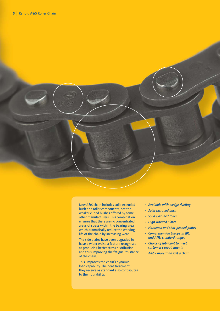

other manufacturers. This combination ensures that there are no concentrated areas of stress within the bearing area which dramatically reduce the working life of the chain by increasing wear.

The side plates have been upgraded to have a wider waist, a feature recognised as producing better stress distribution and thus improving the fatigue resistance of the chain.

This improves the chain's dynamic load capability. The heat treatment they receive as standard also contributes to their durability.

- *Available with wedge riveting*
- 
- *Solid extruded roller*
- *High waisted plates*
- *Hardened and shot-peened plates*
- *Comprehensive European (BS) and ANSI standard ranges*
- *Choice of lubricant to meet customer's requirements*

*A&S - more than just a chain*